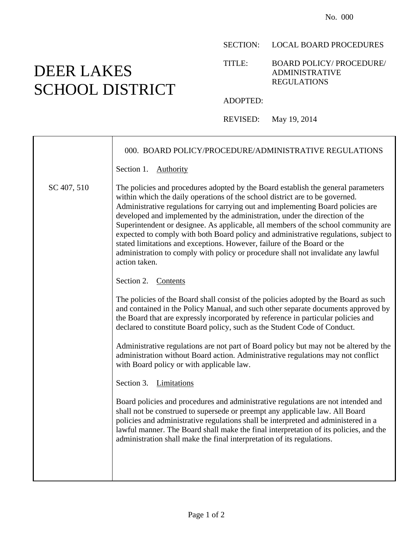## SECTION: LOCAL BOARD PROCEDURES

### TITLE: BOARD POLICY/ PROCEDURE/ ADMINISTRATIVE REGULATIONS

#### ADOPTED:

REVISED: May 19, 2014

|             | 000. BOARD POLICY/PROCEDURE/ADMINISTRATIVE REGULATIONS                                                                                                                                                                                                                                                                                                                                                                                                                                                                                                                                                                                                                                             |
|-------------|----------------------------------------------------------------------------------------------------------------------------------------------------------------------------------------------------------------------------------------------------------------------------------------------------------------------------------------------------------------------------------------------------------------------------------------------------------------------------------------------------------------------------------------------------------------------------------------------------------------------------------------------------------------------------------------------------|
|             | Section 1.<br><b>Authority</b>                                                                                                                                                                                                                                                                                                                                                                                                                                                                                                                                                                                                                                                                     |
| SC 407, 510 | The policies and procedures adopted by the Board establish the general parameters<br>within which the daily operations of the school district are to be governed.<br>Administrative regulations for carrying out and implementing Board policies are<br>developed and implemented by the administration, under the direction of the<br>Superintendent or designee. As applicable, all members of the school community are<br>expected to comply with both Board policy and administrative regulations, subject to<br>stated limitations and exceptions. However, failure of the Board or the<br>administration to comply with policy or procedure shall not invalidate any lawful<br>action taken. |
|             | Section 2. Contents                                                                                                                                                                                                                                                                                                                                                                                                                                                                                                                                                                                                                                                                                |
|             | The policies of the Board shall consist of the policies adopted by the Board as such<br>and contained in the Policy Manual, and such other separate documents approved by<br>the Board that are expressly incorporated by reference in particular policies and<br>declared to constitute Board policy, such as the Student Code of Conduct.                                                                                                                                                                                                                                                                                                                                                        |
|             | Administrative regulations are not part of Board policy but may not be altered by the<br>administration without Board action. Administrative regulations may not conflict<br>with Board policy or with applicable law.                                                                                                                                                                                                                                                                                                                                                                                                                                                                             |
|             | Section 3. Limitations                                                                                                                                                                                                                                                                                                                                                                                                                                                                                                                                                                                                                                                                             |
|             | Board policies and procedures and administrative regulations are not intended and<br>shall not be construed to supersede or preempt any applicable law. All Board<br>policies and administrative regulations shall be interpreted and administered in a<br>lawful manner. The Board shall make the final interpretation of its policies, and the<br>administration shall make the final interpretation of its regulations.                                                                                                                                                                                                                                                                         |
|             |                                                                                                                                                                                                                                                                                                                                                                                                                                                                                                                                                                                                                                                                                                    |

# DEER LAKES SCHOOL DISTRICT